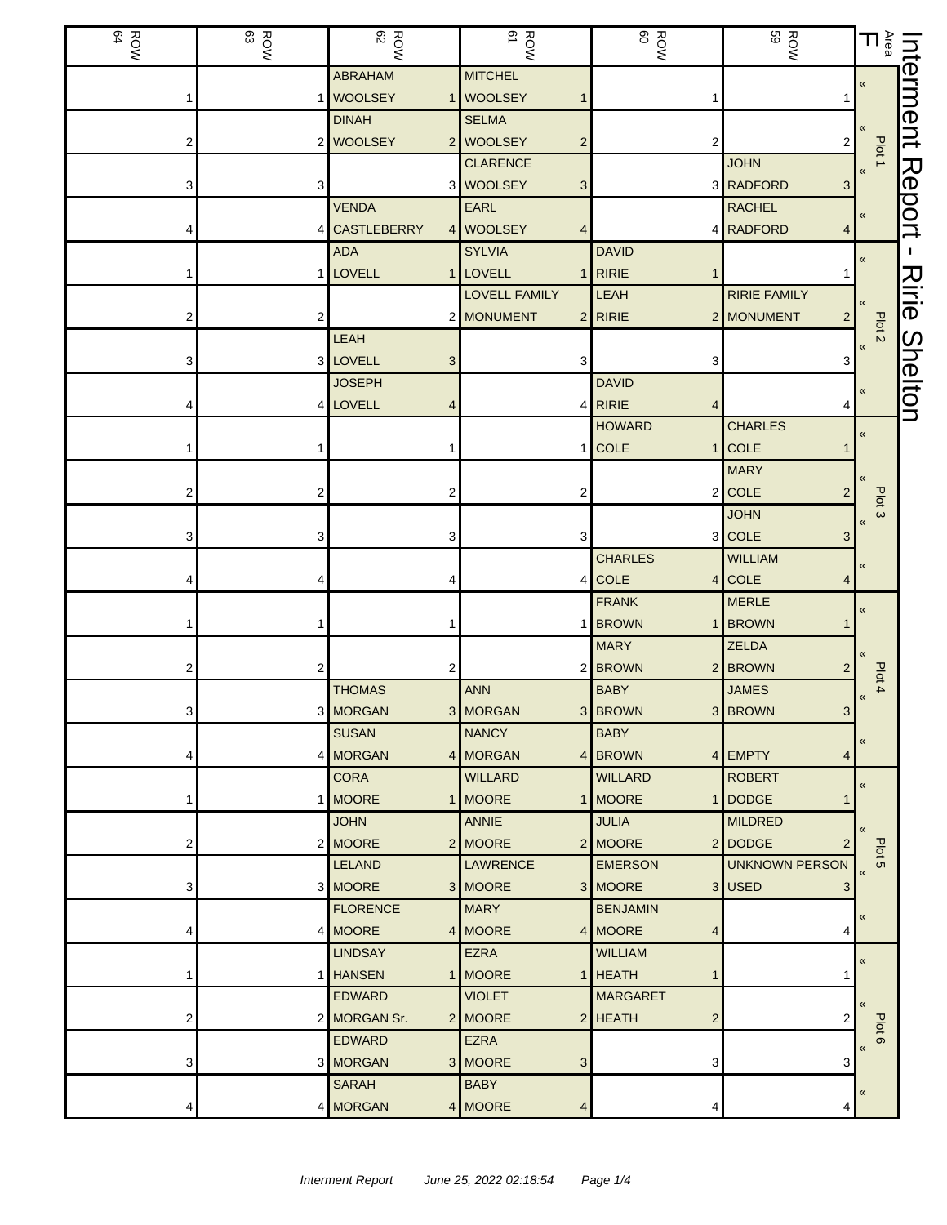| ROW<br>BOW | ROW<br>83               | <b>ROW</b><br>62 | ROW<br>ROW           | ROW<br>ROW                  | ROW<br>BOW            | $\sum\limits_{\mathfrak{g}}$      | Interment      |
|------------|-------------------------|------------------|----------------------|-----------------------------|-----------------------|-----------------------------------|----------------|
|            |                         | <b>ABRAHAM</b>   | <b>MITCHEL</b>       |                             |                       | $\pmb{\ll}$                       |                |
|            |                         | 1 WOOLSEY        | 1 WOOLSEY            | 1                           |                       |                                   |                |
|            |                         | <b>DINAH</b>     | <b>SELMA</b>         |                             |                       |                                   |                |
|            |                         | 2 WOOLSEY        | 2 WOOLSEY<br>2       | 2                           | 2                     | Plot 1                            |                |
|            |                         |                  | <b>CLARENCE</b>      |                             | <b>JOHN</b>           |                                   |                |
| 3          | 3                       |                  | 3 WOOLSEY<br>3       |                             | 3 RADFORD<br>3        |                                   | Report         |
|            |                         | <b>VENDA</b>     | EARL                 |                             | <b>RACHEL</b>         | $\pmb{\langle} \pmb{\langle}$     |                |
|            |                         | 4 CASTLEBERRY    | 4 WOOLSEY            |                             | 4 RADFORD<br>4        |                                   |                |
|            |                         | <b>ADA</b>       | <b>SYLVIA</b>        | <b>DAVID</b>                |                       | «                                 |                |
|            |                         | 1 LOVELL         | 1 LOVELL             | RIRIE                       |                       |                                   | <u>지</u>       |
|            |                         |                  | <b>LOVELL FAMILY</b> | LEAH                        | <b>RIRIE FAMILY</b>   |                                   | iri<br>O       |
|            | 2                       |                  | 2 MONUMENT           | $2$ RIRIE                   | 2 MONUMENT<br>2       | Plot <sub>2</sub>                 |                |
|            |                         | LEAH             |                      |                             |                       | $\pmb{\langle} \pmb{\langle}$     | <b>Shelton</b> |
| 3          |                         | 3 LOVELL<br>3    | 3                    | 3                           | 3                     |                                   |                |
|            |                         | <b>JOSEPH</b>    |                      | <b>DAVID</b>                |                       | «                                 |                |
|            |                         | 4 LOVELL<br>4    |                      | 4 RIRIE<br>4                |                       |                                   |                |
|            |                         |                  |                      | <b>HOWARD</b>               | <b>CHARLES</b>        | $\pmb{\ll}$                       |                |
|            |                         |                  |                      | <b>COLE</b><br>$\mathbf{1}$ | <b>COLE</b>           |                                   |                |
|            |                         |                  |                      |                             | <b>MARY</b>           |                                   |                |
|            | $\overline{\mathbf{c}}$ | 2                | 2                    |                             | $2$ COLE<br>2         | Plot <sub>3</sub>                 |                |
|            |                         |                  |                      |                             | <b>JOHN</b><br>3 COLE | $\pmb{\langle} \pmb{\langle}$     |                |
|            | 3                       | 3                |                      | <b>CHARLES</b>              | 3<br><b>WILLIAM</b>   |                                   |                |
|            | 4                       |                  |                      | 4 COLE                      | 4 COLE                | $\pmb{\ll}$                       |                |
|            |                         |                  |                      | <b>FRANK</b>                | <b>MERLE</b>          |                                   |                |
|            |                         | 1                |                      | 1 BROWN                     | 1 BROWN               | «                                 |                |
|            |                         |                  |                      | <b>MARY</b>                 | <b>ZELDA</b>          |                                   |                |
| 2          | 2                       | 2                |                      | 2 BROWN                     | 2 BROWN               |                                   |                |
|            |                         | <b>THOMAS</b>    | <b>ANN</b>           | <b>BABY</b>                 | <b>JAMES</b>          | Plot 4                            |                |
| 3          |                         | 3 MORGAN         | 3 MORGAN             | 3 BROWN                     | 3 BROWN<br>3          | $\pmb{\langle} \pmb{\langle}$     |                |
|            |                         | <b>SUSAN</b>     | <b>NANCY</b>         | <b>BABY</b>                 |                       |                                   |                |
|            |                         | 4 MORGAN         | 4 MORGAN             | 4 BROWN                     | 4 EMPTY<br>4          | $\pmb{\ll}$                       |                |
|            |                         | <b>CORA</b>      | <b>WILLARD</b>       | <b>WILLARD</b>              | <b>ROBERT</b>         | $\pmb{\langle} \pmb{\langle}$     |                |
|            |                         | 1 MOORE          | 1 MOORE              | 1 MOORE                     | 1 DODGE               |                                   |                |
|            |                         | <b>JOHN</b>      | ANNIE                | <b>JULIA</b>                | <b>MILDRED</b>        |                                   |                |
| 2          |                         | 2 MOORE          | 2 MOORE              | 2 MOORE                     | 2 DODGE               |                                   |                |
|            |                         | <b>LELAND</b>    | <b>LAWRENCE</b>      | <b>EMERSON</b>              | <b>UNKNOWN PERSON</b> | Plot 5<br>$\overline{\mathbf{K}}$ |                |
| 3          |                         | 3 MOORE          | 3 MOORE              | 3 MOORE                     | 3 USED<br>3           |                                   |                |
|            |                         | <b>FLORENCE</b>  | <b>MARY</b>          | <b>BENJAMIN</b>             |                       | «                                 |                |
|            |                         | 4 MOORE          | 4 MOORE              | 4 MOORE<br>4                | 4                     |                                   |                |
|            |                         | <b>LINDSAY</b>   | <b>EZRA</b>          | <b>WILLIAM</b>              |                       | $\pmb{\ll}$                       |                |
|            |                         | 1 HANSEN         | 1 MOORE              | 1 HEATH<br>1                |                       |                                   |                |
|            |                         | <b>EDWARD</b>    | <b>VIOLET</b>        | <b>MARGARET</b>             |                       | $\langle \langle$                 |                |
| 2          |                         | 2 MORGAN Sr.     | 2 MOORE              | 2 HEATH<br>$\overline{c}$   |                       | Plot                              |                |
|            |                         | <b>EDWARD</b>    | <b>EZRA</b>          |                             |                       | $\circ$<br>$\pmb{\kappa}$         |                |
| 3          |                         | 3 MORGAN         | 3 MOORE<br>3         | 3                           | 3                     |                                   |                |
|            |                         | <b>SARAH</b>     | <b>BABY</b>          |                             |                       | «                                 |                |
|            |                         | 4 MORGAN         | 4 MOORE              | 4                           |                       |                                   |                |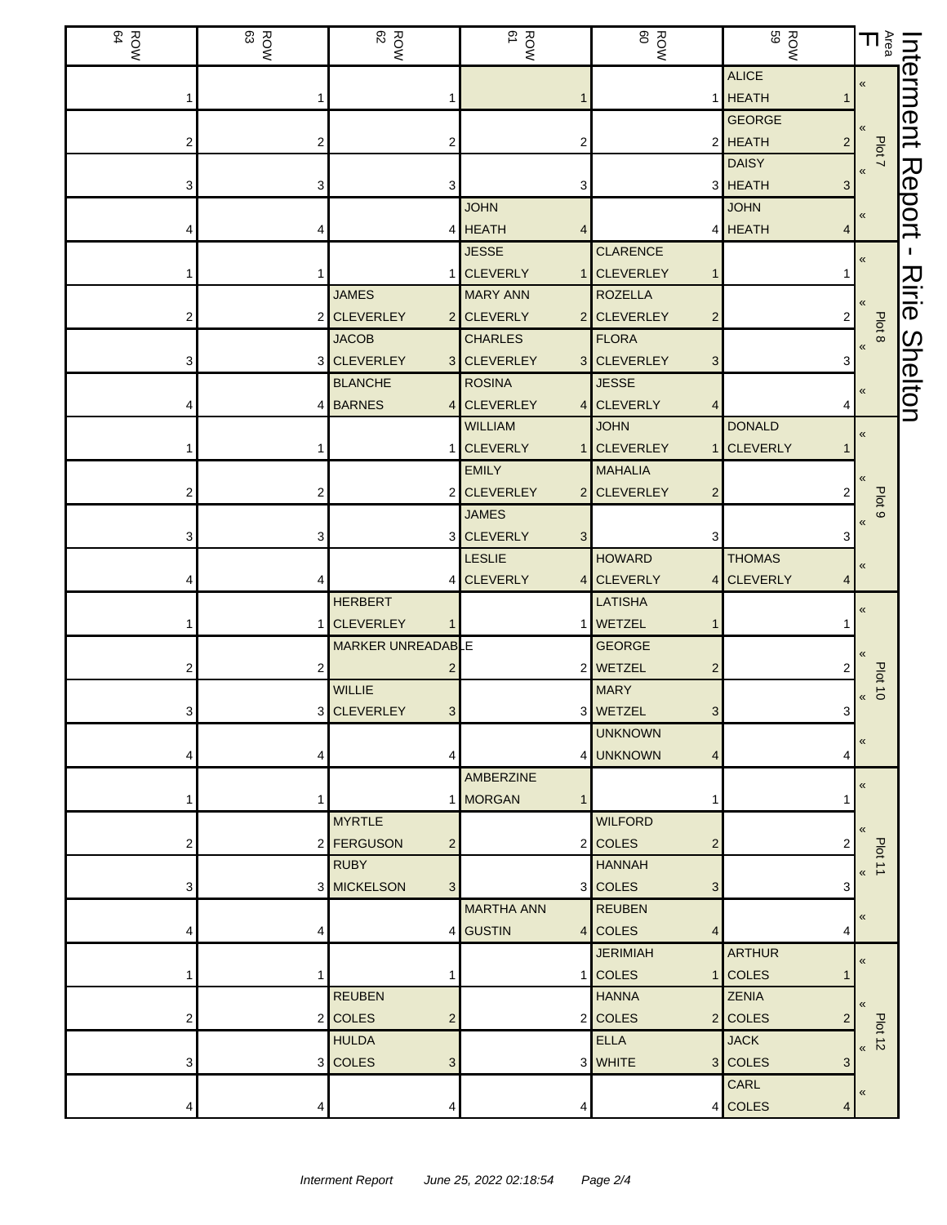| ROW<br>BOW | ROW<br>83      | ROW<br>82                          | ROW<br>BOW                                           | ROW<br>ROW                                   | <b>ROW</b><br>BOW                          | $\mathop{\mathsf{h}}\nolimits^{\mathfrak{F}}_{\mathfrak{g}}$ |                |
|------------|----------------|------------------------------------|------------------------------------------------------|----------------------------------------------|--------------------------------------------|--------------------------------------------------------------|----------------|
|            |                |                                    |                                                      | 1                                            | <b>ALICE</b><br><b>HEATH</b>               | $\ll$                                                        | hterment       |
| 2          | 2              |                                    | 2                                                    |                                              | <b>GEORGE</b><br>2 HEATH<br>$\overline{a}$ |                                                              |                |
|            |                |                                    |                                                      |                                              | <b>DAISY</b>                               | Plot 7                                                       |                |
| 3          | 3              | 3                                  | 3<br><b>JOHN</b>                                     |                                              | 3 HEATH<br>3<br><b>JOHN</b>                |                                                              | Report         |
|            | 4              |                                    | 4 HEATH<br><b>JESSE</b>                              | <b>CLARENCE</b>                              | 4 HEATH<br>4                               |                                                              | H.             |
|            |                | <b>JAMES</b>                       | <b>CLEVERLY</b><br>1 <sup>1</sup><br><b>MARY ANN</b> | <b>CLEVERLEY</b><br><b>ROZELLA</b>           |                                            | «                                                            | <b>Nirie</b>   |
|            | $\overline{2}$ | <b>CLEVERLEY</b><br>2              | <b>CLEVERLY</b>                                      | 2 CLEVERLEY<br>$\overline{2}$                | 2                                          | Plot 8                                                       |                |
| 3          |                | <b>JACOB</b><br>3 CLEVERLEY<br>3   | <b>CHARLES</b><br><b>CLEVERLEY</b>                   | <b>FLORA</b><br>3 CLEVERLEY<br>3             | 3                                          | $\pmb{\langle} \pmb{\langle}$                                |                |
|            |                | <b>BLANCHE</b><br>4 BARNES<br>4    | <b>ROSINA</b><br><b>CLEVERLEY</b>                    | <b>JESSE</b><br>4 CLEVERLY                   | 4                                          | «                                                            | <b>Shelton</b> |
|            |                |                                    | <b>WILLIAM</b><br><b>CLEVERLY</b>                    | <b>JOHN</b><br>1 CLEVERLEY                   | <b>DONALD</b>                              | $\pmb{\kappa}$                                               |                |
|            |                |                                    | <b>EMILY</b>                                         | $\mathbf{1}$<br><b>MAHALIA</b>               | <b>CLEVERLY</b>                            |                                                              |                |
| 2          | 2              |                                    | 2 CLEVERLEY<br><b>JAMES</b>                          | 2 CLEVERLEY<br>$\overline{c}$                | 2                                          | Plot <sub>9</sub>                                            |                |
| 3          | 3              | 3                                  | <b>CLEVERLY</b><br>3<br><b>LESLIE</b>                | 3<br><b>HOWARD</b>                           | 3<br><b>THOMAS</b>                         |                                                              |                |
|            | 4              | 4                                  | <b>CLEVERLY</b><br>4 <sub>1</sub>                    | <b>CLEVERLY</b><br>4                         | <b>CLEVERLY</b>                            |                                                              |                |
|            | 1 <sup>1</sup> | <b>HERBERT</b><br><b>CLEVERLEY</b> |                                                      | <b>LATISHA</b><br>1 WETZEL                   |                                            | «                                                            |                |
|            | 2              | MARKER UNREADABLE                  |                                                      | <b>GEORGE</b><br>2 WETZEL<br>2               |                                            |                                                              |                |
|            |                | <b>WILLIE</b>                      |                                                      | <b>MARY</b>                                  |                                            | <b>Plot 10</b><br>«                                          |                |
| 3          |                | 3 CLEVERLEY<br>3 <sup>1</sup>      |                                                      | 3 WETZEL<br>3 <sup>1</sup><br><b>UNKNOWN</b> | 3                                          | «                                                            |                |
|            | 4              |                                    | AMBERZINE                                            | 4 UNKNOWN<br>4                               | 4                                          | «                                                            |                |
|            | 1              | 1<br><b>MYRTLE</b>                 | <b>MORGAN</b><br>1                                   | <b>WILFORD</b>                               |                                            |                                                              |                |
| 2          |                | 2 FERGUSON<br>$\overline{c}$       |                                                      | 2 COLES<br>$\overline{2}$                    | 2                                          | Plot 11                                                      |                |
| 3          |                | <b>RUBY</b><br>3 MICKELSON<br>3    |                                                      | <b>HANNAH</b><br>3 COLES<br>3                | 3                                          | $\langle \langle$                                            |                |
|            | 4              |                                    | <b>MARTHA ANN</b><br>4 GUSTIN                        | <b>REUBEN</b><br>4 COLES<br>4                | 4                                          | $\alpha$                                                     |                |
|            | 1              |                                    |                                                      | <b>JERIMIAH</b><br>1 COLES                   | <b>ARTHUR</b><br>1 COLES<br>1              | $\pmb{\ll}$                                                  |                |
|            |                | <b>REUBEN</b>                      |                                                      | <b>HANNA</b>                                 | <b>ZENIA</b>                               |                                                              |                |
| 2          |                | 2 COLES<br>2<br><b>HULDA</b>       |                                                      | 2 COLES<br><b>ELLA</b>                       | 2 COLES<br>$\overline{2}$<br><b>JACK</b>   | <b>Plot 12</b><br>$\boldsymbol{\kappa}$                      |                |
| 3          |                | 3 COLES<br>3                       |                                                      | 3 WHITE                                      | 3 COLES<br>3<br>CARL                       |                                                              |                |
|            | 4              |                                    |                                                      |                                              | 4 COLES<br>4                               | «                                                            |                |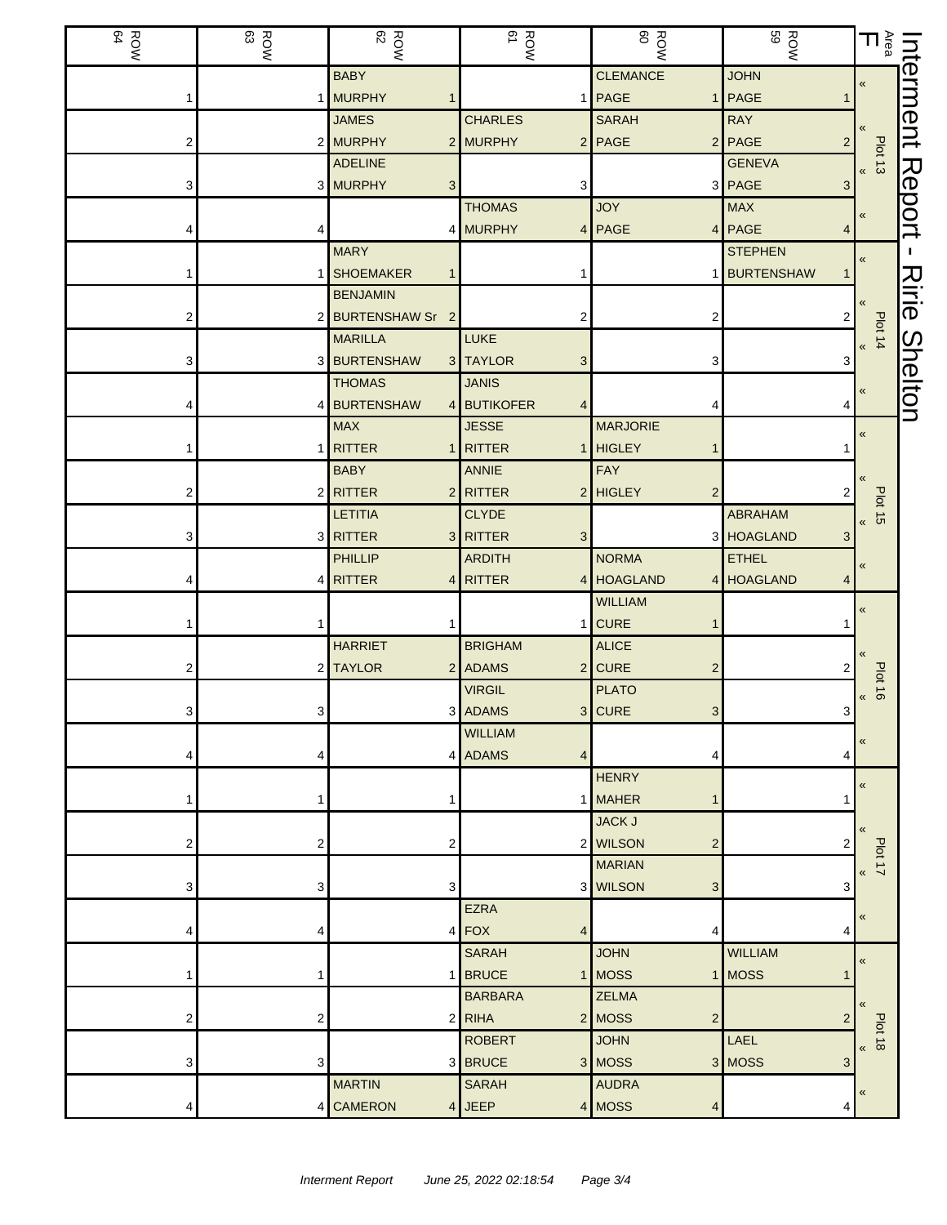| ROW<br>BOW | ROW<br>83 | <b>ROW</b>                           | ROW<br>ROW                            | <b>ROW</b>                 | <b>ROW</b><br>BOW                      | $\sum\limits_{\mathbb{S}}$ $\boldsymbol{\Pi}$ |                |
|------------|-----------|--------------------------------------|---------------------------------------|----------------------------|----------------------------------------|-----------------------------------------------|----------------|
|            |           | <b>BABY</b>                          |                                       | <b>CLEMANCE</b>            | <b>JOHN</b>                            | $\ll$                                         | hterment       |
|            |           | 1 MURPHY                             |                                       | 1 PAGE                     | 1 PAGE<br>1                            |                                               |                |
|            |           | <b>JAMES</b>                         | <b>CHARLES</b>                        | <b>SARAH</b>               | <b>RAY</b>                             |                                               |                |
| 2          |           | 2 MURPHY<br>$\overline{2}$           | <b>MURPHY</b>                         | $2$ PAGE                   | 2 PAGE<br>$\overline{2}$               | Plot 13                                       |                |
|            |           | <b>ADELINE</b>                       |                                       |                            | <b>GENEVA</b>                          |                                               | Report         |
| 3          |           | 3 MURPHY<br>3                        | 3<br><b>THOMAS</b>                    | <b>JOY</b>                 | 3 PAGE<br>3 <sup>1</sup><br><b>MAX</b> |                                               |                |
|            |           |                                      |                                       |                            |                                        | $\pmb{\langle} \pmb{\langle}$                 |                |
|            | 4         | <b>MARY</b>                          | 4 MURPHY                              | 4 PAGE                     | 4 PAGE<br>4<br><b>STEPHEN</b>          |                                               |                |
|            |           | <b>SHOEMAKER</b>                     |                                       |                            | 1 BURTENSHAW                           | $\ll$                                         |                |
|            | 1 I       |                                      |                                       |                            |                                        |                                               | Ririe          |
|            |           | <b>BENJAMIN</b><br>2 BURTENSHAW Sr 2 | 2                                     | 2                          | $\overline{2}$                         |                                               |                |
|            |           | <b>MARILLA</b>                       | LUKE                                  |                            |                                        | <b>Plot 14</b>                                |                |
|            |           | 3 BURTENSHAW                         |                                       |                            |                                        |                                               |                |
| 3          |           | 3<br><b>THOMAS</b>                   | <b>TAYLOR</b><br>3                    | 3                          | 3                                      |                                               |                |
|            |           |                                      | <b>JANIS</b>                          |                            |                                        | «                                             | <b>Shelton</b> |
|            |           | 4 BURTENSHAW<br>4<br><b>MAX</b>      | <b>BUTIKOFER</b><br>4<br><b>JESSE</b> | 4<br><b>MARJORIE</b>       | 4                                      |                                               |                |
|            |           | 1 RITTER                             | RITTER                                | 1 HIGLEY                   |                                        | $\pmb{\ll}$                                   |                |
|            |           |                                      |                                       | FAY                        |                                        |                                               |                |
|            |           | <b>BABY</b>                          | <b>ANNIE</b>                          |                            |                                        |                                               |                |
| 2          |           | 2 RITTER<br>$\overline{2}$           | RITTER                                | 2 HIGLEY<br>$\overline{2}$ | 2<br><b>ABRAHAM</b>                    | <b>Plot 15</b>                                |                |
|            |           | <b>LETITIA</b>                       | <b>CLYDE</b>                          |                            |                                        |                                               |                |
|            |           | 3 RITTER<br>3                        | <b>RITTER</b><br>3                    | <b>NORMA</b>               | 3 HOAGLAND<br>3                        |                                               |                |
|            |           | PHILLIP                              | <b>ARDITH</b>                         |                            | <b>ETHEL</b>                           | $\ll$                                         |                |
|            |           | 4 RITTER<br>4                        | <b>RITTER</b>                         | 4 HOAGLAND                 | 4 HOAGLAND<br>4                        |                                               |                |
|            |           |                                      |                                       | <b>WILLIAM</b>             |                                        | «                                             |                |
|            |           |                                      | <b>BRIGHAM</b>                        | 1 CURE                     |                                        |                                               |                |
|            |           | <b>HARRIET</b>                       |                                       | <b>ALICE</b>               |                                        |                                               |                |
|            |           | 2 TAYLOR                             | 2 ADAMS                               | $2$ CURE<br>$\overline{2}$ |                                        | <b>Plot 16</b>                                |                |
|            |           |                                      | <b>VIRGIL</b>                         | <b>PLATO</b>               |                                        | «                                             |                |
| 3.         | 31        |                                      | 3 ADAMS<br><b>WILLIAM</b>             | 3 CURE<br>3                | 3 <sup>1</sup>                         |                                               |                |
|            |           |                                      | 4 ADAMS<br>4                          |                            |                                        | «                                             |                |
|            | 4         |                                      |                                       | 4<br><b>HENRY</b>          | 4                                      |                                               |                |
|            | 1         |                                      |                                       | 1 MAHER<br>$\mathbf 1$     |                                        | «                                             |                |
|            |           |                                      |                                       | <b>JACK J</b>              |                                        |                                               |                |
| 2          | 2         | 2                                    |                                       | 2 WILSON<br>$\overline{2}$ | 2                                      |                                               |                |
|            |           |                                      |                                       | <b>MARIAN</b>              |                                        | Plot 17                                       |                |
| 3          | 3         | 3                                    |                                       | 3 WILSON<br>3              | 3                                      | $\overline{\mathbf{K}}$                       |                |
|            |           |                                      | <b>EZRA</b>                           |                            |                                        |                                               |                |
|            | 4         | 4                                    | FOX<br>4                              | 4                          | 4                                      |                                               |                |
|            |           |                                      | <b>SARAH</b>                          | <b>JOHN</b>                | <b>WILLIAM</b>                         |                                               |                |
|            | 1         | 1                                    | <b>BRUCE</b>                          | 1 MOSS                     | 1 MOSS<br>1                            | $\pmb{\ll}$                                   |                |
|            |           |                                      | <b>BARBARA</b>                        | <b>ZELMA</b>               |                                        |                                               |                |
| 2          | 2         |                                      | $2$ RIHA                              | 2 MOSS<br>$\overline{2}$   | $\overline{2}$                         |                                               |                |
|            |           |                                      | <b>ROBERT</b>                         | <b>JOHN</b>                | LAEL                                   | <b>Plot 18</b>                                |                |
| 3          | 3         |                                      | 3 BRUCE                               | 3 MOSS                     | 3 MOSS<br>3                            | $\overline{\mathbf{K}}$                       |                |
|            |           | <b>MARTIN</b>                        | <b>SARAH</b>                          | <b>AUDRA</b>               |                                        |                                               |                |
|            | 4         | <b>CAMERON</b><br>4                  | <b>JEEP</b>                           | 4 MOSS<br>4                | 4                                      | «                                             |                |
|            |           |                                      |                                       |                            |                                        |                                               |                |